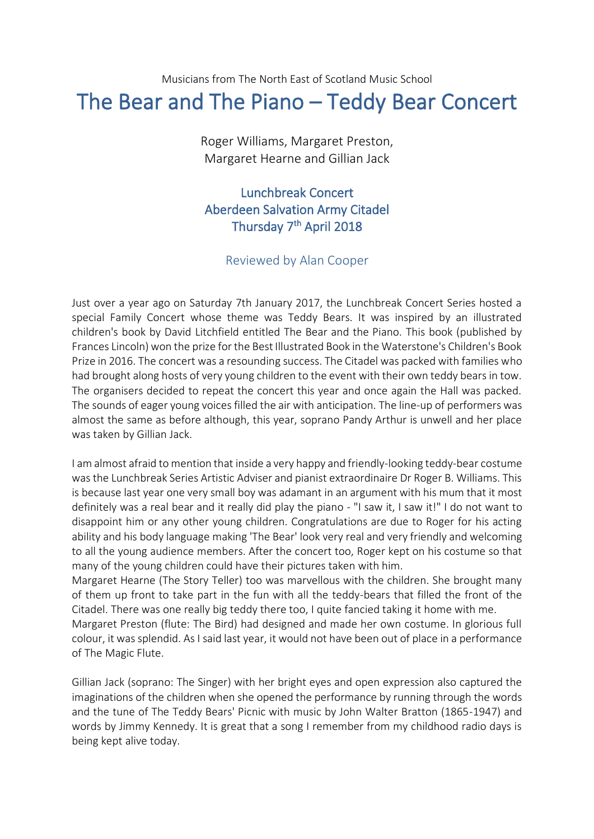## Musicians from The North East of Scotland Music School The Bear and The Piano – Teddy Bear Concert

Roger Williams, Margaret Preston, Margaret Hearne and Gillian Jack

## Lunchbreak Concert Aberdeen Salvation Army Citadel Thursday 7<sup>th</sup> April 2018

## Reviewed by Alan Cooper

Just over a year ago on Saturday 7th January 2017, the Lunchbreak Concert Series hosted a special Family Concert whose theme was Teddy Bears. It was inspired by an illustrated children's book by David Litchfield entitled The Bear and the Piano. This book (published by Frances Lincoln) won the prize for the Best Illustrated Book in the Waterstone's Children's Book Prize in 2016. The concert was a resounding success. The Citadel was packed with families who had brought along hosts of very young children to the event with their own teddy bears in tow. The organisers decided to repeat the concert this year and once again the Hall was packed. The sounds of eager young voices filled the air with anticipation. The line-up of performers was almost the same as before although, this year, soprano Pandy Arthur is unwell and her place was taken by Gillian Jack.

I am almost afraid to mention that inside a very happy and friendly-looking teddy-bear costume was the Lunchbreak Series Artistic Adviser and pianist extraordinaire Dr Roger B. Williams. This is because last year one very small boy was adamant in an argument with his mum that it most definitely was a real bear and it really did play the piano - "I saw it, I saw it!" I do not want to disappoint him or any other young children. Congratulations are due to Roger for his acting ability and his body language making 'The Bear' look very real and very friendly and welcoming to all the young audience members. After the concert too, Roger kept on his costume so that many of the young children could have their pictures taken with him.

Margaret Hearne (The Story Teller) too was marvellous with the children. She brought many of them up front to take part in the fun with all the teddy-bears that filled the front of the Citadel. There was one really big teddy there too, I quite fancied taking it home with me. Margaret Preston (flute: The Bird) had designed and made her own costume. In glorious full colour, it was splendid. As I said last year, it would not have been out of place in a performance

of The Magic Flute.

Gillian Jack (soprano: The Singer) with her bright eyes and open expression also captured the imaginations of the children when she opened the performance by running through the words and the tune of The Teddy Bears' Picnic with music by John Walter Bratton (1865-1947) and words by Jimmy Kennedy. It is great that a song I remember from my childhood radio days is being kept alive today.